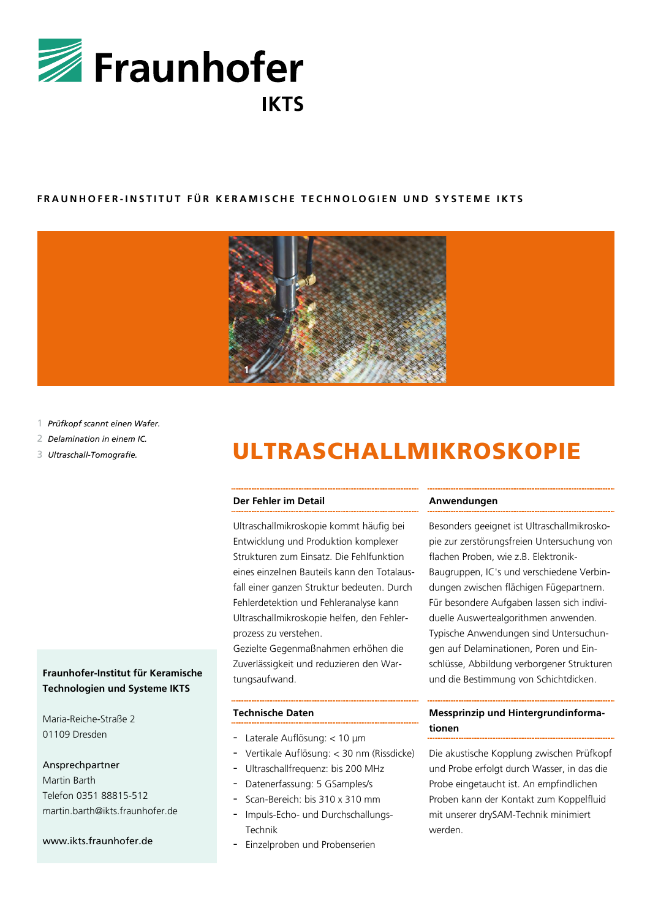

## **FRAUNHOFER - INSTITUT FÜR K ERAMISCHE T ECHNOLOGIEN UND SYST EME IKTS**



- 1 *Prüfkopf scannt einen Wafer.*
- 2 *Delamination in einem IC.*
- 3 *Ultraschall-Tomografie.*

## **Fraunhofer-Institut für Keramische Technologien und Systeme IKTS**

Maria-Reiche-Straße 2 01109 Dresden

## Ansprechpartner

Martin Barth Telefon 0351 88815-512 martin.barth@ikts.fraunhofer.de

### www.ikts.fraunhofer.de

# ULTRASCHALLMIKROSKOPIE

#### **Der Fehler im Detail**

Ultraschallmikroskopie kommt häufig bei Entwicklung und Produktion komplexer Strukturen zum Einsatz. Die Fehlfunktion eines einzelnen Bauteils kann den Totalausfall einer ganzen Struktur bedeuten. Durch Fehlerdetektion und Fehleranalyse kann Ultraschallmikroskopie helfen, den Fehlerprozess zu verstehen.

Gezielte Gegenmaßnahmen erhöhen die Zuverlässigkeit und reduzieren den Wartungsaufwand.

#### **Technische Daten**

- Laterale Auflösung: < 10 μm
- Vertikale Auflösung: < 30 nm (Rissdicke)
- Ultraschallfrequenz: bis 200 MHz
- Datenerfassung: 5 GSamples/s
- Scan-Bereich: bis 310 x 310 mm
- Impuls-Echo- und Durchschallungs-Technik
- Einzelproben und Probenserien

#### **Anwendungen**

Besonders geeignet ist Ultraschallmikroskopie zur zerstörungsfreien Untersuchung von flachen Proben, wie z.B. Elektronik-Baugruppen, IC's und verschiedene Verbindungen zwischen flächigen Fügepartnern. Für besondere Aufgaben lassen sich individuelle Auswertealgorithmen anwenden. Typische Anwendungen sind Untersuchungen auf Delaminationen, Poren und Einschlüsse, Abbildung verborgener Strukturen und die Bestimmung von Schichtdicken.

## **Messprinzip und Hintergrundinformationen**

Die akustische Kopplung zwischen Prüfkopf und Probe erfolgt durch Wasser, in das die Probe eingetaucht ist. An empfindlichen Proben kann der Kontakt zum Koppelfluid mit unserer drySAM-Technik minimiert werden.